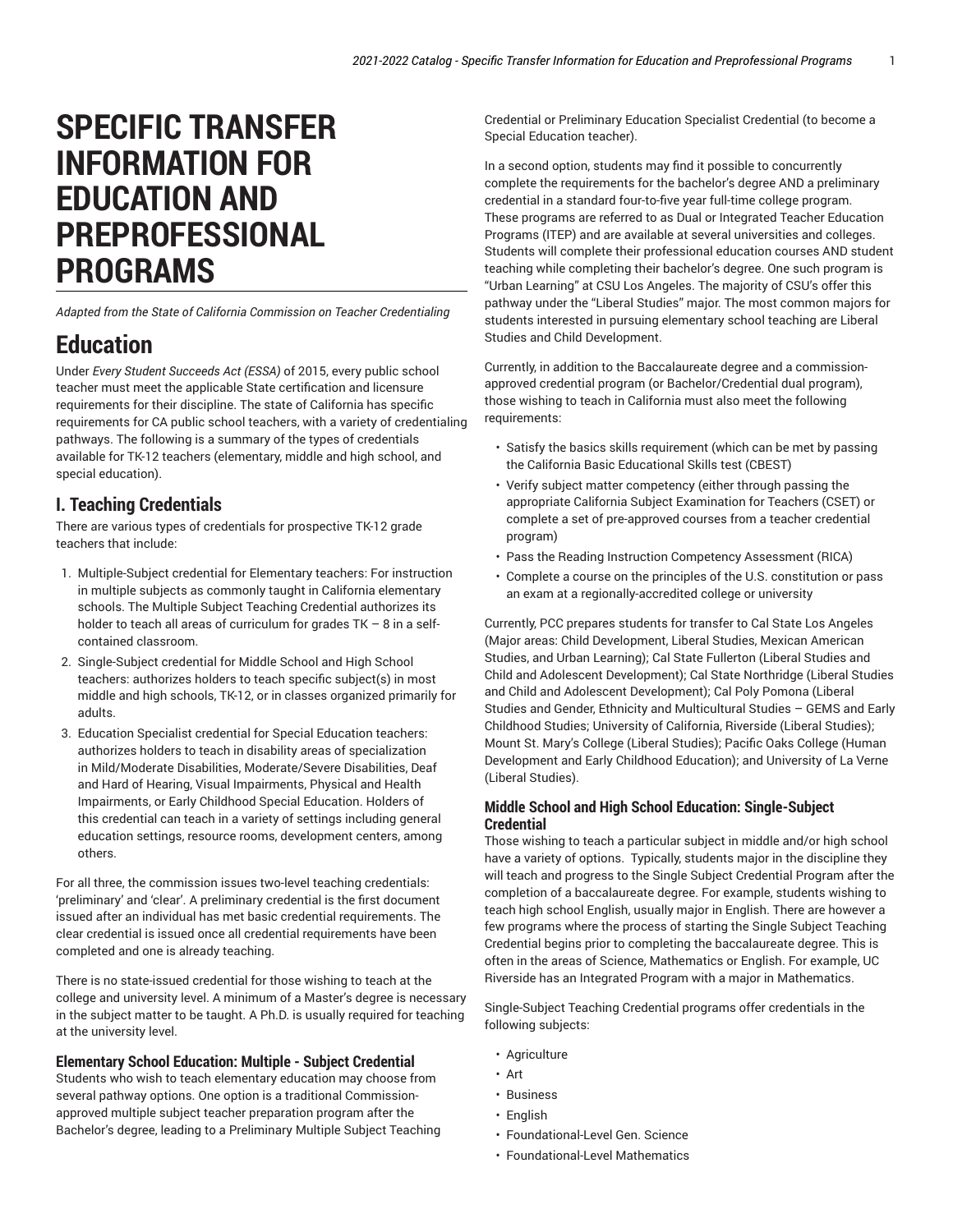# **SPECIFIC TRANSFER INFORMATION FOR EDUCATION AND PREPROFESSIONAL PROGRAMS**

*Adapted from the State of California Commission on Teacher Credentialing*

# **Education**

Under *Every Student Succeeds Act (ESSA)* of 2015, every public school teacher must meet the applicable State certification and licensure requirements for their discipline. The state of California has specific requirements for CA public school teachers, with a variety of credentialing pathways. The following is a summary of the types of credentials available for TK-12 teachers (elementary, middle and high school, and special education).

### **I. Teaching Credentials**

There are various types of credentials for prospective TK-12 grade teachers that include:

- 1. Multiple-Subject credential for Elementary teachers: For instruction in multiple subjects as commonly taught in California elementary schools. The Multiple Subject Teaching Credential authorizes its holder to teach all areas of curriculum for grades  $TK - 8$  in a selfcontained classroom.
- 2. Single-Subject credential for Middle School and High School teachers: authorizes holders to teach specific subject(s) in most middle and high schools, TK-12, or in classes organized primarily for adults.
- 3. Education Specialist credential for Special Education teachers: authorizes holders to teach in disability areas of specialization in Mild/Moderate Disabilities, Moderate/Severe Disabilities, Deaf and Hard of Hearing, Visual Impairments, Physical and Health Impairments, or Early Childhood Special Education. Holders of this credential can teach in a variety of settings including general education settings, resource rooms, development centers, among others.

For all three, the commission issues two-level teaching credentials: 'preliminary' and 'clear'. A preliminary credential is the first document issued after an individual has met basic credential requirements. The clear credential is issued once all credential requirements have been completed and one is already teaching.

There is no state-issued credential for those wishing to teach at the college and university level. A minimum of a Master's degree is necessary in the subject matter to be taught. A Ph.D. is usually required for teaching at the university level.

### **Elementary School Education: Multiple - Subject Credential**

Students who wish to teach elementary education may choose from several pathway options. One option is a traditional Commissionapproved multiple subject teacher preparation program after the Bachelor's degree, leading to a Preliminary Multiple Subject Teaching Credential or Preliminary Education Specialist Credential (to become a Special Education teacher).

In a second option, students may find it possible to concurrently complete the requirements for the bachelor's degree AND a preliminary credential in a standard four-to-five year full-time college program. These programs are referred to as Dual or Integrated Teacher Education Programs (ITEP) and are available at several universities and colleges. Students will complete their professional education courses AND student teaching while completing their bachelor's degree. One such program is "Urban Learning" at CSU Los Angeles. The majority of CSU's offer this pathway under the "Liberal Studies" major. The most common majors for students interested in pursuing elementary school teaching are Liberal Studies and Child Development.

Currently, in addition to the Baccalaureate degree and a commissionapproved credential program (or Bachelor/Credential dual program), those wishing to teach in California must also meet the following requirements:

- Satisfy the basics skills requirement (which can be met by passing the California Basic Educational Skills test (CBEST)
- Verify subject matter competency (either through passing the appropriate California Subject Examination for Teachers (CSET) or complete a set of pre-approved courses from a teacher credential program)
- Pass the Reading Instruction Competency Assessment (RICA)
- Complete a course on the principles of the U.S. constitution or pass an exam at a regionally-accredited college or university

Currently, PCC prepares students for transfer to Cal State Los Angeles (Major areas: Child Development, Liberal Studies, Mexican American Studies, and Urban Learning); Cal State Fullerton (Liberal Studies and Child and Adolescent Development); Cal State Northridge (Liberal Studies and Child and Adolescent Development); Cal Poly Pomona (Liberal Studies and Gender, Ethnicity and Multicultural Studies – GEMS and Early Childhood Studies; University of California, Riverside (Liberal Studies); Mount St. Mary's College (Liberal Studies); Pacific Oaks College (Human Development and Early Childhood Education); and University of La Verne (Liberal Studies).

### **Middle School and High School Education: Single-Subject Credential**

Those wishing to teach a particular subject in middle and/or high school have a variety of options. Typically, students major in the discipline they will teach and progress to the Single Subject Credential Program after the completion of a baccalaureate degree. For example, students wishing to teach high school English, usually major in English. There are however a few programs where the process of starting the Single Subject Teaching Credential begins prior to completing the baccalaureate degree. This is often in the areas of Science, Mathematics or English. For example, UC Riverside has an Integrated Program with a major in Mathematics.

Single-Subject Teaching Credential programs offer credentials in the following subjects:

- Agriculture
- Art
- Business
- English
- Foundational-Level Gen. Science
- Foundational-Level Mathematics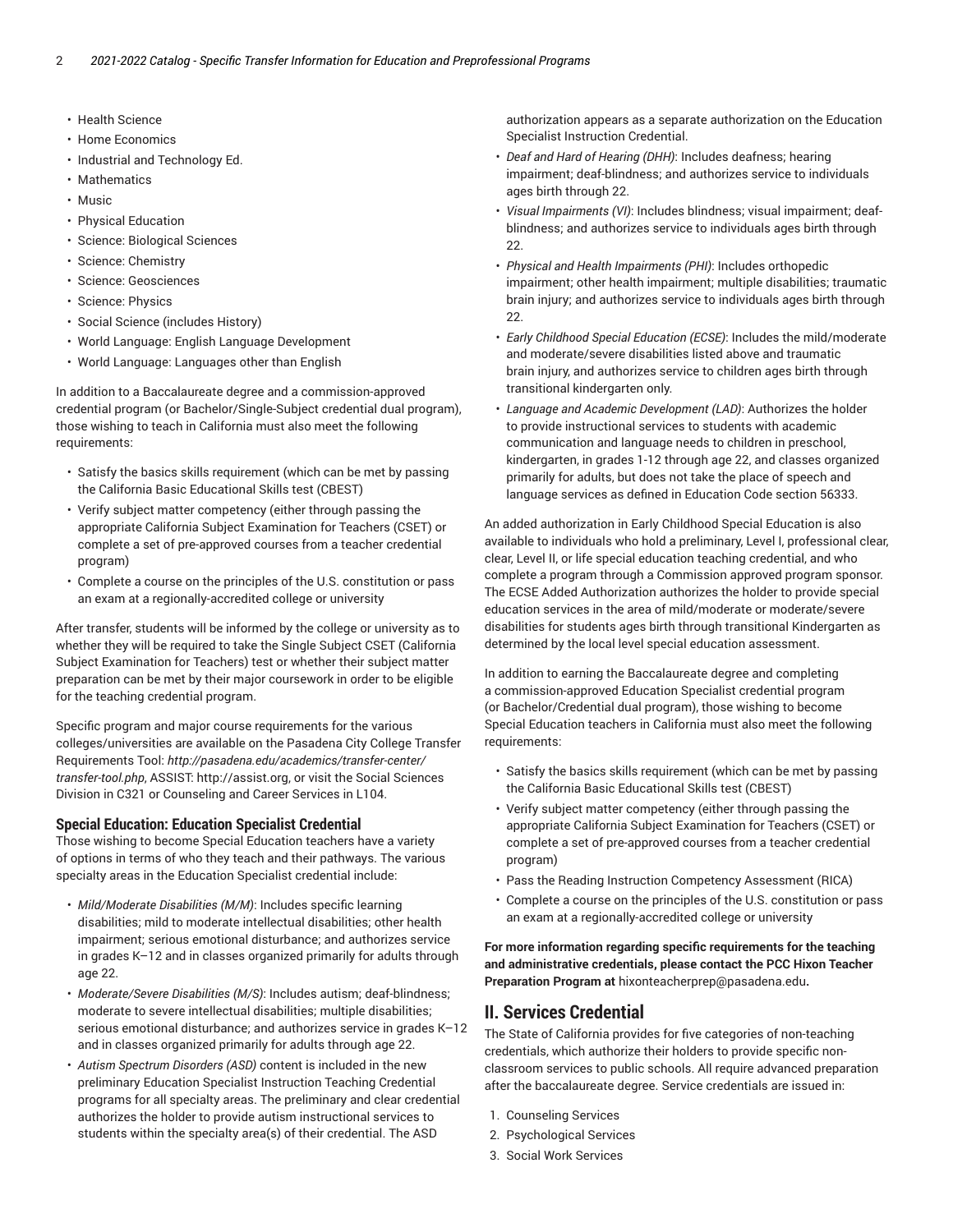- Health Science
- Home Economics
- Industrial and Technology Ed.
- Mathematics
- Music
- Physical Education
- Science: Biological Sciences
- Science: Chemistry
- Science: Geosciences
- Science: Physics
- Social Science (includes History)
- World Language: English Language Development
- World Language: Languages other than English

In addition to a Baccalaureate degree and a commission-approved credential program (or Bachelor/Single-Subject credential dual program), those wishing to teach in California must also meet the following requirements:

- Satisfy the basics skills requirement (which can be met by passing the California Basic Educational Skills test (CBEST)
- Verify subject matter competency (either through passing the appropriate California Subject Examination for Teachers (CSET) or complete a set of pre-approved courses from a teacher credential program)
- Complete a course on the principles of the U.S. constitution or pass an exam at a regionally-accredited college or university

After transfer, students will be informed by the college or university as to whether they will be required to take the Single Subject CSET (California Subject Examination for Teachers) test or whether their subject matter preparation can be met by their major coursework in order to be eligible for the teaching credential program.

Specific program and major course requirements for the various colleges/universities are available on the Pasadena City College Transfer Requirements Tool: *http://pasadena.edu/academics/transfer-center/ transfer-tool.php*, ASSIST: <http://assist.org>, or visit the Social Sciences Division in C321 or Counseling and Career Services in L104.

### **Special Education: Education Specialist Credential**

Those wishing to become Special Education teachers have a variety of options in terms of who they teach and their pathways. The various specialty areas in the Education Specialist credential include:

- *Mild/Moderate Disabilities (M/M)*: Includes specific learning disabilities; mild to moderate intellectual disabilities; other health impairment; serious emotional disturbance; and authorizes service in grades K–12 and in classes organized primarily for adults through age 22.
- *Moderate/Severe Disabilities (M/S)*: Includes autism; deaf-blindness; moderate to severe intellectual disabilities; multiple disabilities; serious emotional disturbance; and authorizes service in grades K–12 and in classes organized primarily for adults through age 22.
- *Autism Spectrum Disorders (ASD)* content is included in the new preliminary Education Specialist Instruction Teaching Credential programs for all specialty areas. The preliminary and clear credential authorizes the holder to provide autism instructional services to students within the specialty area(s) of their credential. The ASD

authorization appears as a separate authorization on the Education Specialist Instruction Credential.

- *Deaf and Hard of Hearing (DHH)*: Includes deafness; hearing impairment; deaf-blindness; and authorizes service to individuals ages birth through 22.
- *Visual Impairments (VI)*: Includes blindness; visual impairment; deafblindness; and authorizes service to individuals ages birth through 22.
- *Physical and Health Impairments (PHI)*: Includes orthopedic impairment; other health impairment; multiple disabilities; traumatic brain injury; and authorizes service to individuals ages birth through 22.
- *Early Childhood Special Education (ECSE)*: Includes the mild/moderate and moderate/severe disabilities listed above and traumatic brain injury, and authorizes service to children ages birth through transitional kindergarten only.
- *Language and Academic Development (LAD)*: Authorizes the holder to provide instructional services to students with academic communication and language needs to children in preschool, kindergarten, in grades 1-12 through age 22, and classes organized primarily for adults, but does not take the place of speech and language services as defined in Education Code section 56333.

An added authorization in Early Childhood Special Education is also available to individuals who hold a preliminary, Level I, professional clear, clear, Level II, or life special education teaching credential, and who complete a program through a Commission approved program sponsor. The ECSE Added Authorization authorizes the holder to provide special education services in the area of mild/moderate or moderate/severe disabilities for students ages birth through transitional Kindergarten as determined by the local level special education assessment.

In addition to earning the Baccalaureate degree and completing a commission-approved Education Specialist credential program (or Bachelor/Credential dual program), those wishing to become Special Education teachers in California must also meet the following requirements:

- Satisfy the basics skills requirement (which can be met by passing the California Basic Educational Skills test (CBEST)
- Verify subject matter competency (either through passing the appropriate California Subject Examination for Teachers (CSET) or complete a set of pre-approved courses from a teacher credential program)
- Pass the Reading Instruction Competency Assessment (RICA)
- Complete a course on the principles of the U.S. constitution or pass an exam at a regionally-accredited college or university

**For more information regarding specific requirements for the teaching and administrative credentials, please contact the PCC Hixon Teacher Preparation Program at** [hixonteacherprep@pasadena.edu](mailto:hixonteacherprep@pasadena.edu)**.**

### **II. Services Credential**

The State of California provides for five categories of non-teaching credentials, which authorize their holders to provide specific nonclassroom services to public schools. All require advanced preparation after the baccalaureate degree. Service credentials are issued in:

- 1. Counseling Services
- 2. Psychological Services
- 3. Social Work Services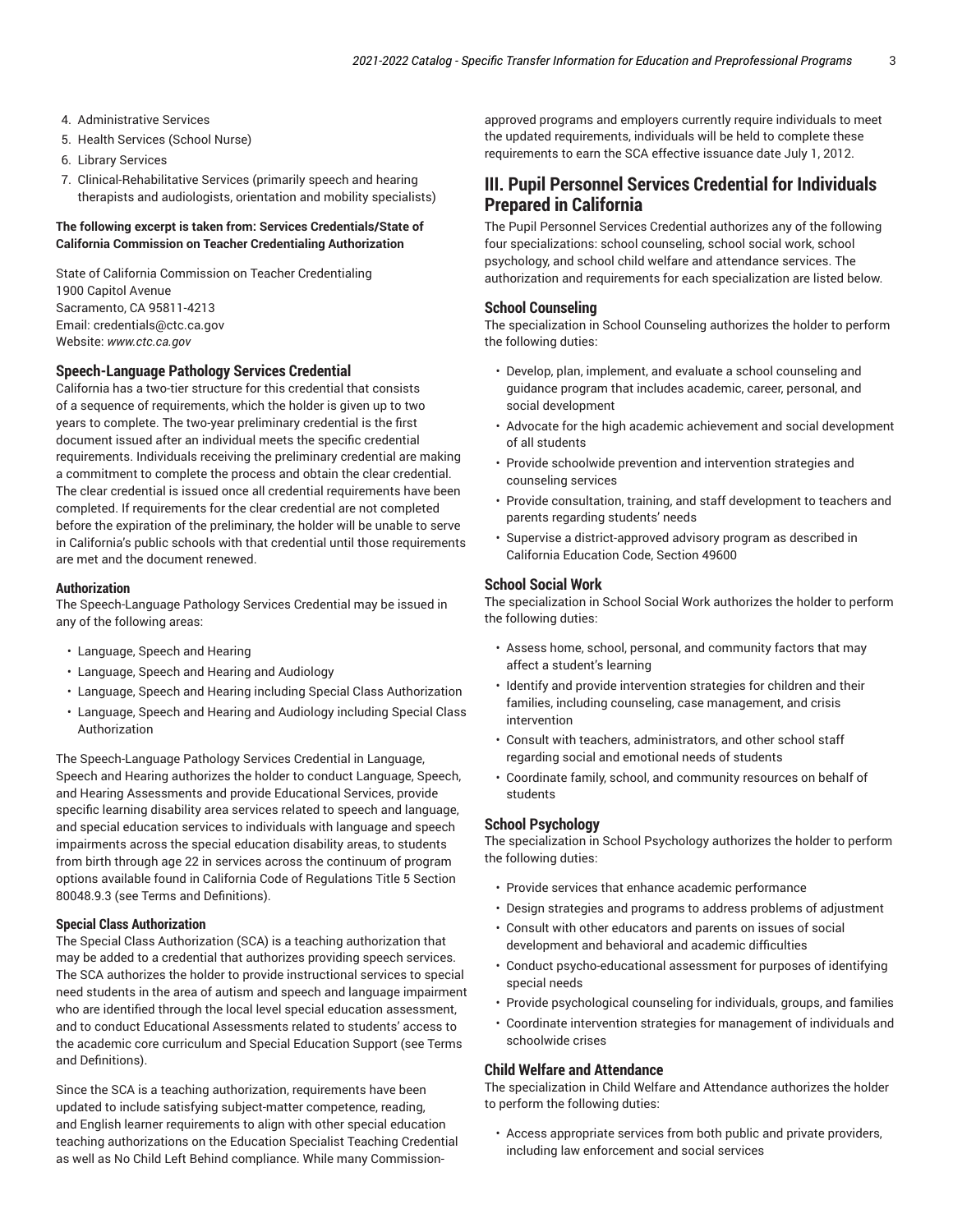- 4. Administrative Services
- 5. Health Services (School Nurse)
- 6. Library Services
- 7. Clinical-Rehabilitative Services (primarily speech and hearing therapists and audiologists, orientation and mobility specialists)

### **The following excerpt is taken from: Services Credentials/State of California Commission on Teacher Credentialing Authorization**

State of California Commission on Teacher Credentialing 1900 Capitol Avenue Sacramento, CA 95811-4213 Email: [credentials@ctc.ca.gov](mailto:credentials@ctc.ca.gov) Website: *www.ctc.ca.gov*

### **Speech-Language Pathology Services Credential**

California has a two-tier structure for this credential that consists of a sequence of requirements, which the holder is given up to two years to complete. The two-year preliminary credential is the first document issued after an individual meets the specific credential requirements. Individuals receiving the preliminary credential are making a commitment to complete the process and obtain the clear credential. The clear credential is issued once all credential requirements have been completed. If requirements for the clear credential are not completed before the expiration of the preliminary, the holder will be unable to serve in California's public schools with that credential until those requirements are met and the document renewed.

#### **Authorization**

The Speech-Language Pathology Services Credential may be issued in any of the following areas:

- Language, Speech and Hearing
- Language, Speech and Hearing and Audiology
- Language, Speech and Hearing including Special Class Authorization
- Language, Speech and Hearing and Audiology including Special Class Authorization

The Speech-Language Pathology Services Credential in Language, Speech and Hearing authorizes the holder to conduct Language, Speech, and Hearing Assessments and provide Educational Services, provide specific learning disability area services related to speech and language, and special education services to individuals with language and speech impairments across the special education disability areas, to students from birth through age 22 in services across the continuum of program options available found in California Code of Regulations Title 5 Section 80048.9.3 (see Terms and Definitions).

### **Special Class Authorization**

The Special Class Authorization (SCA) is a teaching authorization that may be added to a credential that authorizes providing speech services. The SCA authorizes the holder to provide instructional services to special need students in the area of autism and speech and language impairment who are identified through the local level special education assessment, and to conduct Educational Assessments related to students' access to the academic core curriculum and Special Education Support (see Terms and Definitions).

Since the SCA is a teaching authorization, requirements have been updated to include satisfying subject-matter competence, reading, and English learner requirements to align with other special education teaching authorizations on the Education Specialist Teaching Credential as well as No Child Left Behind compliance. While many Commission-

approved programs and employers currently require individuals to meet the updated requirements, individuals will be held to complete these requirements to earn the SCA effective issuance date July 1, 2012.

### **III. Pupil Personnel Services Credential for Individuals Prepared in California**

The Pupil Personnel Services Credential authorizes any of the following four specializations: school counseling, school social work, school psychology, and school child welfare and attendance services. The authorization and requirements for each specialization are listed below.

#### **School Counseling**

The specialization in School Counseling authorizes the holder to perform the following duties:

- Develop, plan, implement, and evaluate a school counseling and guidance program that includes academic, career, personal, and social development
- Advocate for the high academic achievement and social development of all students
- Provide schoolwide prevention and intervention strategies and counseling services
- Provide consultation, training, and staff development to teachers and parents regarding students' needs
- Supervise a district-approved advisory program as described in California Education Code, Section 49600

### **School Social Work**

The specialization in School Social Work authorizes the holder to perform the following duties:

- Assess home, school, personal, and community factors that may affect a student's learning
- Identify and provide intervention strategies for children and their families, including counseling, case management, and crisis intervention
- Consult with teachers, administrators, and other school staff regarding social and emotional needs of students
- Coordinate family, school, and community resources on behalf of students

### **School Psychology**

The specialization in School Psychology authorizes the holder to perform the following duties:

- Provide services that enhance academic performance
- Design strategies and programs to address problems of adjustment
- Consult with other educators and parents on issues of social development and behavioral and academic difficulties
- Conduct psycho-educational assessment for purposes of identifying special needs
- Provide psychological counseling for individuals, groups, and families
- Coordinate intervention strategies for management of individuals and schoolwide crises

#### **Child Welfare and Attendance**

The specialization in Child Welfare and Attendance authorizes the holder to perform the following duties:

• Access appropriate services from both public and private providers, including law enforcement and social services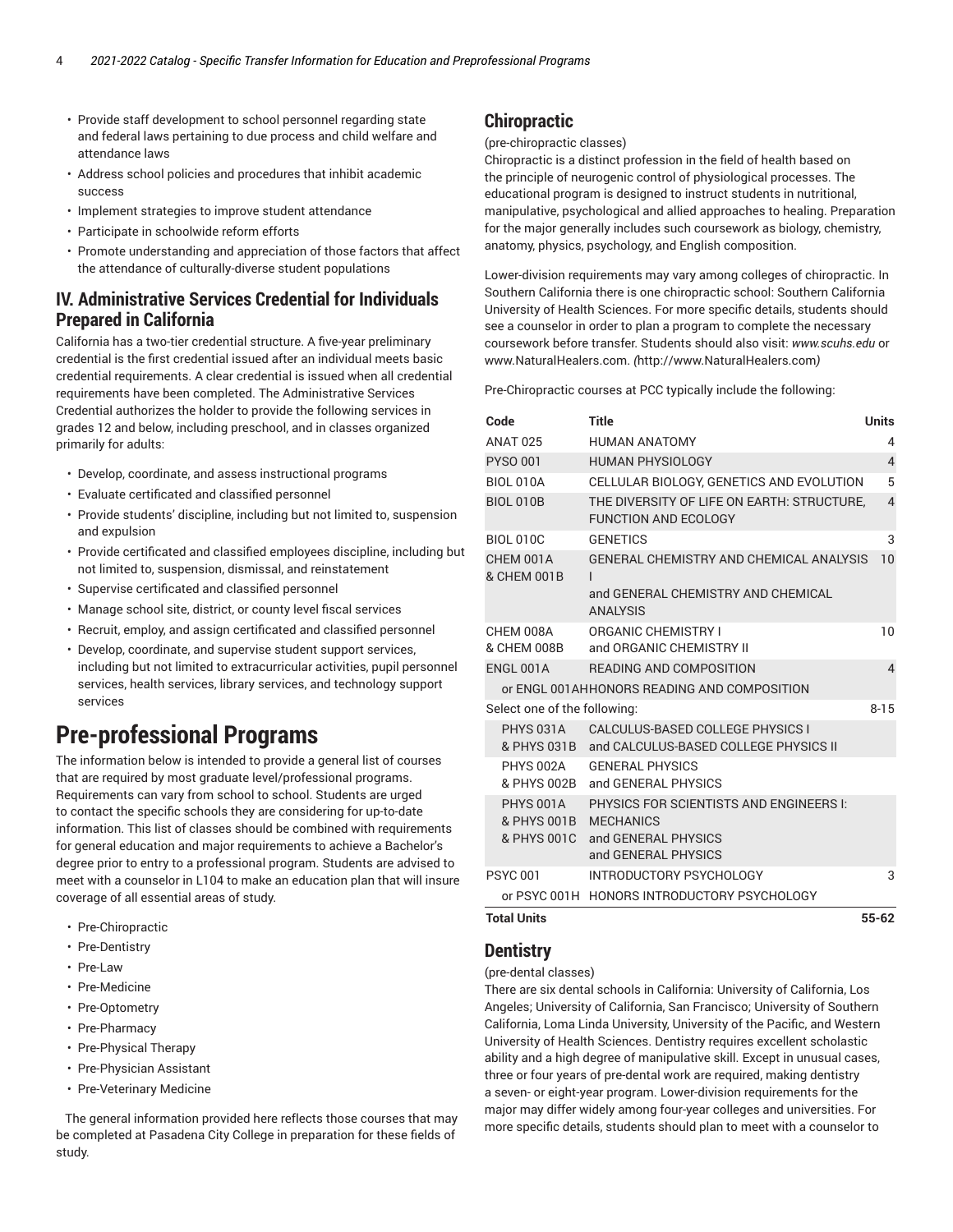- Provide staff development to school personnel regarding state and federal laws pertaining to due process and child welfare and attendance laws
- Address school policies and procedures that inhibit academic success
- Implement strategies to improve student attendance
- Participate in schoolwide reform efforts
- Promote understanding and appreciation of those factors that affect the attendance of culturally-diverse student populations

### **IV. Administrative Services Credential for Individuals Prepared in California**

California has a two-tier credential structure. A five-year preliminary credential is the first credential issued after an individual meets basic credential requirements. A clear credential is issued when all credential requirements have been completed. The Administrative Services Credential authorizes the holder to provide the following services in grades 12 and below, including preschool, and in classes organized primarily for adults:

- Develop, coordinate, and assess instructional programs
- Evaluate certificated and classified personnel
- Provide students' discipline, including but not limited to, suspension and expulsion
- Provide certificated and classified employees discipline, including but not limited to, suspension, dismissal, and reinstatement
- Supervise certificated and classified personnel
- Manage school site, district, or county level fiscal services
- Recruit, employ, and assign certificated and classified personnel
- Develop, coordinate, and supervise student support services, including but not limited to extracurricular activities, pupil personnel services, health services, library services, and technology support services

# **Pre-professional Programs**

The information below is intended to provide a general list of courses that are required by most graduate level/professional programs. Requirements can vary from school to school. Students are urged to contact the specific schools they are considering for up-to-date information. This list of classes should be combined with requirements for general education and major requirements to achieve a Bachelor's degree prior to entry to a professional program. Students are advised to meet with a counselor in L104 to make an education plan that will insure coverage of all essential areas of study.

- Pre-Chiropractic
- Pre-Dentistry
- Pre-Law
- Pre-Medicine
- Pre-Optometry
- Pre-Pharmacy
- Pre-Physical Therapy
- Pre-Physician Assistant
- Pre-Veterinary Medicine

The general information provided here reflects those courses that may be completed at Pasadena City College in preparation for these fields of study.

## **Chiropractic**

#### (pre-chiropractic classes)

Chiropractic is a distinct profession in the field of health based on the principle of neurogenic control of physiological processes. The educational program is designed to instruct students in nutritional, manipulative, psychological and allied approaches to healing. Preparation for the major generally includes such coursework as biology, chemistry, anatomy, physics, psychology, and English composition.

Lower-division requirements may vary among colleges of chiropractic. In Southern California there is one chiropractic school: Southern California University of Health Sciences. For more specific details, students should see a counselor in order to plan a program to complete the necessary coursework before transfer. Students should also visit: *www.scuhs.edu* or [www.NaturalHealers.com.](http://www.NaturalHealers.com) *(*<http://www.NaturalHealers.com>*)*

Pre-Chiropractic courses at PCC typically include the following:

| Code                                      | <b>Title</b>                                                                                          | <b>Units</b>   |
|-------------------------------------------|-------------------------------------------------------------------------------------------------------|----------------|
| <b>ANAT 025</b>                           | <b>HUMAN ANATOMY</b>                                                                                  | 4              |
| <b>PYSO 001</b>                           | <b>HUMAN PHYSIOLOGY</b>                                                                               | $\overline{4}$ |
| <b>BIOL 010A</b>                          | CELLULAR BIOLOGY, GENETICS AND EVOLUTION                                                              | 5              |
| <b>BIOL 010B</b>                          | THE DIVERSITY OF LIFE ON EARTH: STRUCTURE.<br><b>FUNCTION AND ECOLOGY</b>                             | $\overline{4}$ |
| <b>BIOL 010C</b>                          | <b>GENETICS</b>                                                                                       | 3              |
| CHEM 001A<br>& CHEM 001B                  | GENERAL CHEMISTRY AND CHEMICAL ANALYSIS<br>ı<br>and GENERAL CHEMISTRY AND CHEMICAL<br><b>ANALYSIS</b> | 10             |
|                                           |                                                                                                       |                |
| CHEM 008A<br>& CHEM 008B                  | <b>ORGANIC CHEMISTRY I</b><br>and ORGANIC CHEMISTRY II                                                | 10             |
| ENGL 001A                                 | <b>READING AND COMPOSITION</b>                                                                        | $\overline{4}$ |
|                                           | or ENGL 001AHHONORS READING AND COMPOSITION                                                           |                |
| Select one of the following:              |                                                                                                       | $8 - 15$       |
|                                           | PHYS 031A CALCULUS-BASED COLLEGE PHYSICS I<br>& PHYS 031B and CALCULUS-BASED COLLEGE PHYSICS II       |                |
| <b>PHYS 002A</b><br>& PHYS 002B           | <b>GENERAL PHYSICS</b><br>and GENERAL PHYSICS                                                         |                |
| <b>PHYS 001A</b><br>& PHYS 001B MECHANICS | PHYSICS FOR SCIENTISTS AND ENGINEERS I:<br>& PHYS 001C and GENERAL PHYSICS<br>and GENERAL PHYSICS     |                |
| <b>PSYC 001</b>                           | INTRODUCTORY PSYCHOLOGY<br>or PSYC 001H HONORS INTRODUCTORY PSYCHOLOGY                                | 3              |

### **Total Units 55-62**

### **Dentistry**

### (pre-dental classes)

There are six dental schools in California: University of California, Los Angeles; University of California, San Francisco; University of Southern California, Loma Linda University, University of the Pacific, and Western University of Health Sciences. Dentistry requires excellent scholastic ability and a high degree of manipulative skill. Except in unusual cases, three or four years of pre-dental work are required, making dentistry a seven- or eight-year program. Lower-division requirements for the major may differ widely among four-year colleges and universities. For more specific details, students should plan to meet with a counselor to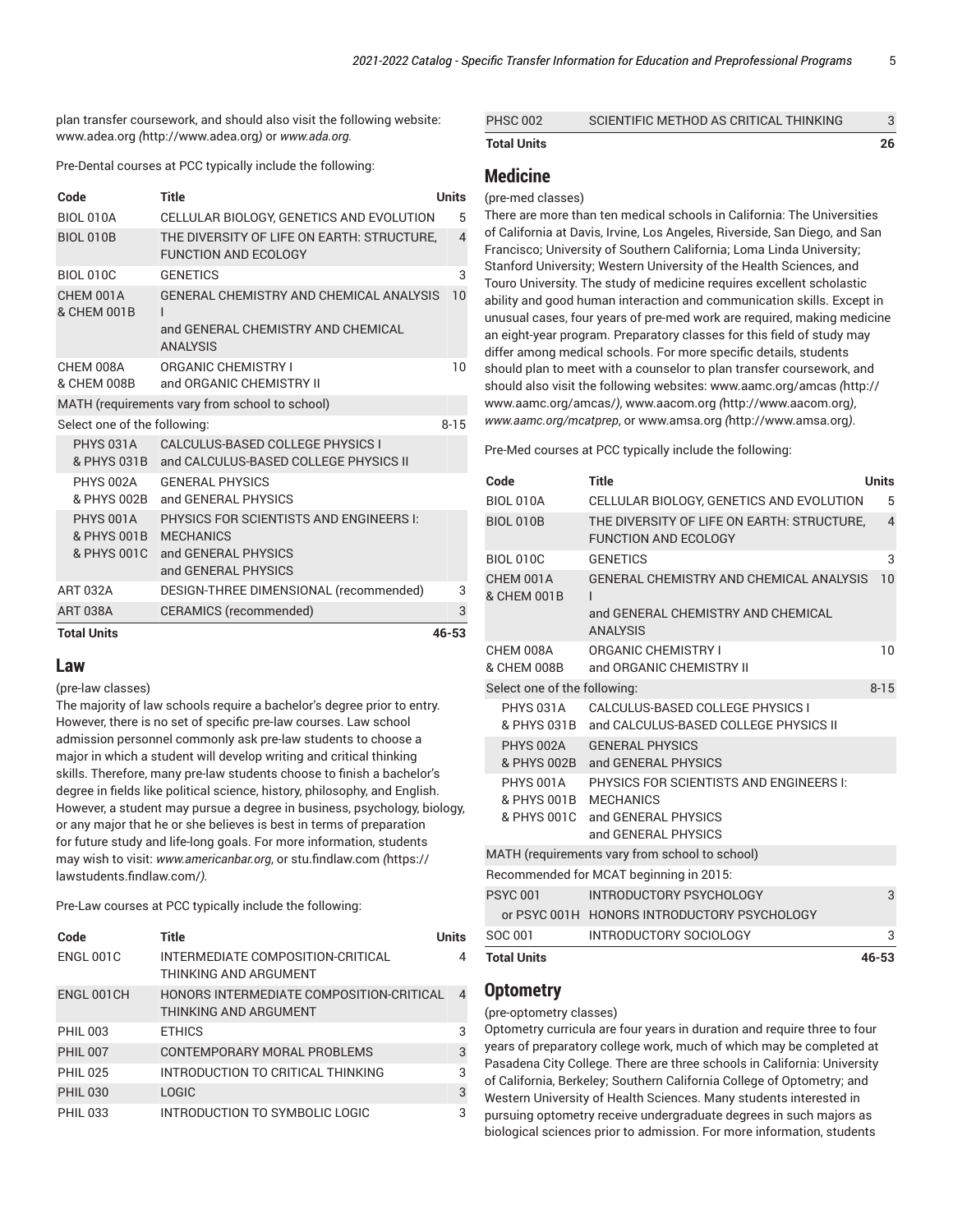plan transfer coursework, and should also visit the following website: [www.adea.org](http://www.adea.org) *(*<http://www.adea.org>*)* or *www.ada.org.*

Pre-Dental courses at PCC typically include the following:

| Code                         | Title                                                                     | Units          |
|------------------------------|---------------------------------------------------------------------------|----------------|
| BIOL 010A                    | CELLULAR BIOLOGY, GENETICS AND EVOLUTION                                  | 5              |
| <b>BIOL 010B</b>             | THE DIVERSITY OF LIFE ON EARTH: STRUCTURE,<br><b>FUNCTION AND ECOLOGY</b> | $\overline{4}$ |
| <b>BIOL 010C</b>             | <b>GENETICS</b>                                                           | 3              |
| CHEM 001A<br>& CHEM 001B     | GENERAL CHEMISTRY AND CHEMICAL ANALYSIS<br>$\mathbf{I}$                   | 10             |
|                              | and GENERAL CHEMISTRY AND CHEMICAL<br><b>ANALYSIS</b>                     |                |
| CHEM 008A                    | ORGANIC CHEMISTRY I                                                       | 10             |
| & CHEM 008B                  | and ORGANIC CHEMISTRY II                                                  |                |
|                              | MATH (requirements vary from school to school)                            |                |
| Select one of the following: |                                                                           | $8 - 15$       |
| PHYS 031A                    | CALCULUS-BASED COLLEGE PHYSICS I                                          |                |
|                              | & PHYS 031B and CALCULUS-BASED COLLEGE PHYSICS II                         |                |
| PHYS 002A                    | <b>GENERAL PHYSICS</b>                                                    |                |
| & PHYS 002B                  | and GENERAL PHYSICS                                                       |                |
| PHYS 001A                    | PHYSICS FOR SCIENTISTS AND ENGINEERS I:                                   |                |
| & PHYS 001B MECHANICS        |                                                                           |                |
| & PHYS 001C                  | and GENERAL PHYSICS<br>and GENERAL PHYSICS                                |                |
| <b>ART 032A</b>              | DESIGN-THREE DIMENSIONAL (recommended)                                    | 3              |
| <b>ART 038A</b>              | <b>CERAMICS (recommended)</b>                                             | 3              |
| <b>Total Units</b>           |                                                                           | 46-53          |

### **Law**

(pre-law classes)

The majority of law schools require a bachelor's degree prior to entry. However, there is no set of specific pre-law courses. Law school admission personnel commonly ask pre-law students to choose a major in which a student will develop writing and critical thinking skills. Therefore, many pre-law students choose to finish a bachelor's degree in fields like political science, history, philosophy, and English. However, a student may pursue a degree in business, psychology, biology, or any major that he or she believes is best in terms of preparation for future study and life-long goals. For more information, students may wish to visit: *www.americanbar.org*, or [stu.findlaw.com](https://lawstudents.findlaw.com/) *(*[https://](https://lawstudents.findlaw.com/) [lawstudents.findlaw.com/](https://lawstudents.findlaw.com/)*).*

Pre-Law courses at PCC typically include the following:

| Code             | Title                                                             | <b>Units</b> |
|------------------|-------------------------------------------------------------------|--------------|
| <b>ENGL 001C</b> | INTERMEDIATE COMPOSITION-CRITICAL<br>THINKING AND ARGUMENT        | 4            |
| ENGL 001CH       | HONORS INTERMEDIATE COMPOSITION-CRITICAL<br>THINKING AND ARGUMENT | 4            |
| <b>PHIL 003</b>  | <b>ETHICS</b>                                                     | 3            |
| <b>PHIL 007</b>  | CONTEMPORARY MORAL PROBLEMS                                       | 3            |
| <b>PHIL 025</b>  | INTRODUCTION TO CRITICAL THINKING                                 | 3            |
| <b>PHIL 030</b>  | <b>LOGIC</b>                                                      | 3            |
| <b>PHIL 033</b>  | INTRODUCTION TO SYMBOLIC LOGIC                                    | 3            |

| <b>Total Units</b> |                                        | 26 |
|--------------------|----------------------------------------|----|
| <b>PHSC 002</b>    | SCIENTIFIC METHOD AS CRITICAL THINKING |    |

### **Medicine**

### (pre-med classes)

There are more than ten medical schools in California: The Universities of California at Davis, Irvine, Los Angeles, Riverside, San Diego, and San Francisco; University of Southern California; Loma Linda University; Stanford University; Western University of the Health Sciences, and Touro University. The study of medicine requires excellent scholastic ability and good human interaction and communication skills. Except in unusual cases, four years of pre-med work are required, making medicine an eight-year program. Preparatory classes for this field of study may differ among medical schools. For more specific details, students should plan to meet with a counselor to plan transfer coursework, and should also visit the following websites: [www.aamc.org/amcas](http://www.aamc.org/amcas/) *(*[http://](http://www.aamc.org/amcas/) [www.aamc.org/amcas/](http://www.aamc.org/amcas/)*)*, [www.aacom.org](http://www.aacom.org) *(*<http://www.aacom.org>*)*, *www.aamc.org/mcatprep*, or [www.amsa.org](http://www.amsa.org) *(*<http://www.amsa.org>*)*.

Pre-Med courses at PCC typically include the following:

| Code                               | Title                                                                                                 | <b>Units</b>   |
|------------------------------------|-------------------------------------------------------------------------------------------------------|----------------|
| <b>BIOL 010A</b>                   | CELLULAR BIOLOGY, GENETICS AND EVOLUTION                                                              | 5              |
| <b>BIOL 010B</b>                   | THE DIVERSITY OF LIFE ON EARTH: STRUCTURE.<br><b>FUNCTION AND ECOLOGY</b>                             | $\overline{4}$ |
| <b>BIOL 010C</b>                   | <b>GENETICS</b>                                                                                       | 3              |
| CHEM 001A<br>& CHEM 001B           | GENERAL CHEMISTRY AND CHEMICAL ANALYSIS<br>ı<br>and GENERAL CHEMISTRY AND CHEMICAL<br><b>ANAIYSIS</b> | 10             |
|                                    |                                                                                                       |                |
| CHEM 008A<br>& CHEM 008B           | <b>ORGANIC CHEMISTRY I</b><br>and ORGANIC CHEMISTRY II                                                | 10             |
| Select one of the following:       |                                                                                                       | $8 - 15$       |
| PHYS 031A<br>& PHYS 031B           | CALCULUS-BASED COLLEGE PHYSICS I<br>and CALCULUS-BASED COLLEGE PHYSICS II                             |                |
| PHYS 002A                          | <b>GENERAL PHYSICS</b><br>& PHYS 002B and GENERAL PHYSICS                                             |                |
| PHYS 001A<br>& PHYS 001B MECHANICS | PHYSICS FOR SCIENTISTS AND ENGINEERS I:<br>& PHYS 001C and GENERAL PHYSICS<br>and GENERAL PHYSICS     |                |
|                                    | MATH (requirements vary from school to school)                                                        |                |
|                                    | Recommended for MCAT beginning in 2015:                                                               |                |
| <b>PSYC 001</b>                    | INTRODUCTORY PSYCHOLOGY                                                                               | 3              |
|                                    | or PSYC 001H HONORS INTRODUCTORY PSYCHOLOGY                                                           |                |
| SOC 001                            | INTRODUCTORY SOCIOLOGY                                                                                | 3              |
| <b>Total Units</b>                 |                                                                                                       | 46-53          |

### **Optometry**

#### (pre-optometry classes)

Optometry curricula are four years in duration and require three to four years of preparatory college work, much of which may be completed at Pasadena City College. There are three schools in California: University of California, Berkeley; Southern California College of Optometry; and Western University of Health Sciences. Many students interested in pursuing optometry receive undergraduate degrees in such majors as biological sciences prior to admission. For more information, students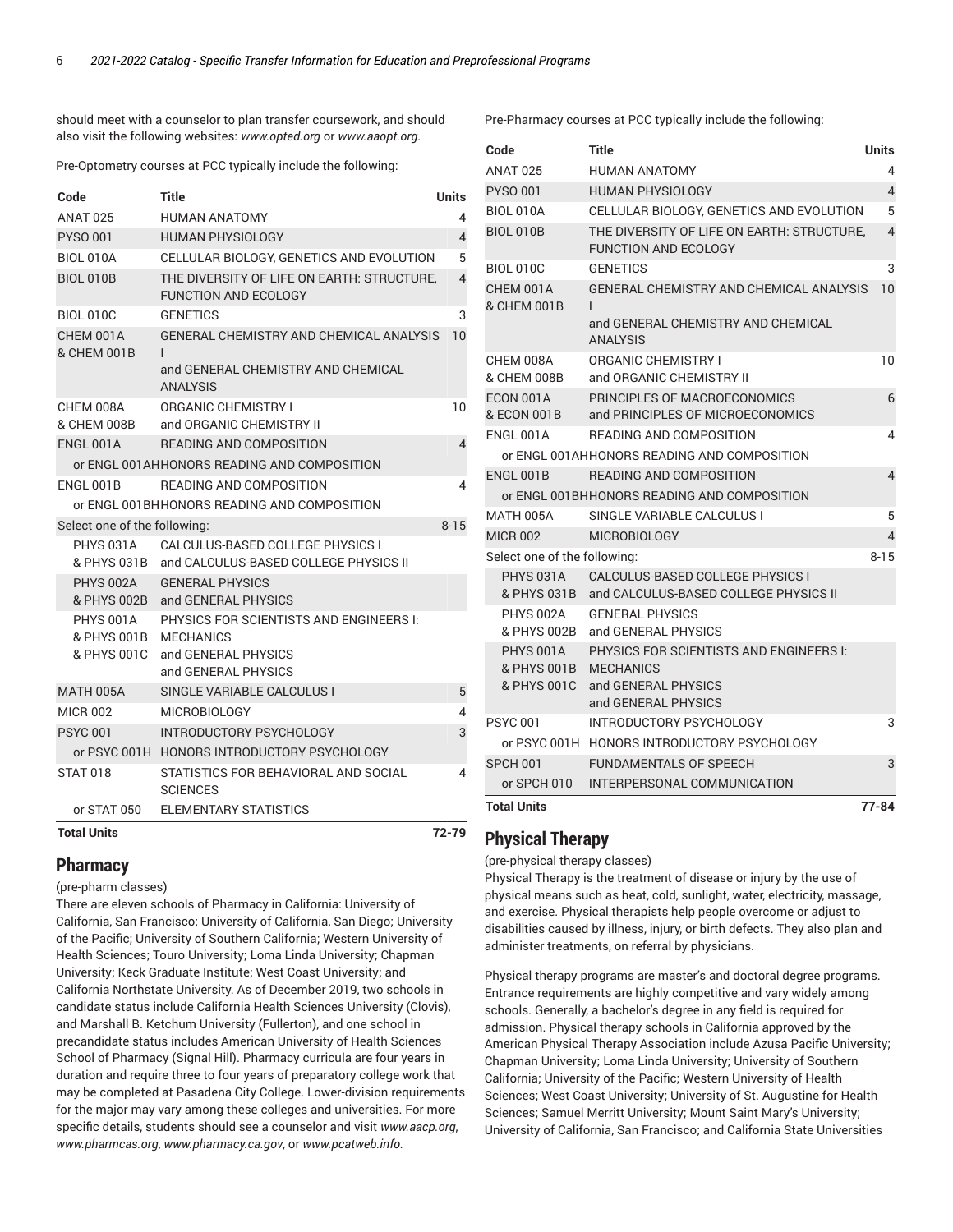should meet with a counselor to plan transfer coursework, and should also visit the following websites: *www.opted.org* or *www.aaopt.org*.

Pre-Optometry courses at PCC typically include the following:

| Code                                    | Title                                                                                                            | Units          |
|-----------------------------------------|------------------------------------------------------------------------------------------------------------------|----------------|
| <b>ANAT 025</b>                         | <b>HUMAN ANATOMY</b>                                                                                             | 4              |
| <b>PYSO 001</b>                         | <b>HUMAN PHYSIOLOGY</b>                                                                                          | $\overline{4}$ |
| <b>BIOL 010A</b>                        | CELLULAR BIOLOGY, GENETICS AND EVOLUTION                                                                         | 5              |
| <b>BIOL 010B</b>                        | THE DIVERSITY OF LIFE ON EARTH: STRUCTURE.<br><b>FUNCTION AND ECOLOGY</b>                                        | 4              |
| <b>BIOL 010C</b>                        | <b>GENETICS</b>                                                                                                  | 3              |
| CHEM 001A<br>& CHEM 001B                | GENERAL CHEMISTRY AND CHEMICAL ANALYSIS<br>$\mathbf{I}$<br>and GENERAL CHEMISTRY AND CHEMICAL<br><b>ANALYSIS</b> | 10             |
| CHEM 008A<br>& CHEM 008B                | <b>ORGANIC CHEMISTRY I</b><br>and ORGANIC CHEMISTRY II                                                           | 10             |
| ENGL 001A                               | <b>READING AND COMPOSITION</b>                                                                                   | 4              |
|                                         | or ENGL 001AHHONORS READING AND COMPOSITION                                                                      |                |
| ENGL 001B                               | READING AND COMPOSITION                                                                                          | 4              |
|                                         | or ENGL 001BHHONORS READING AND COMPOSITION                                                                      |                |
| Select one of the following:            |                                                                                                                  | $8 - 15$       |
| PHYS 031A<br>& PHYS 031B                | CALCULUS-BASED COLLEGE PHYSICS I<br>and CALCULUS-BASED COLLEGE PHYSICS II                                        |                |
| PHYS 002A<br>& PHYS 002B                | <b>GENERAL PHYSICS</b><br>and GENERAL PHYSICS                                                                    |                |
| PHYS 001A<br>& PHYS 001B<br>& PHYS 001C | PHYSICS FOR SCIENTISTS AND ENGINEERS I:<br><b>MECHANICS</b><br>and GENERAL PHYSICS<br>and GENERAL PHYSICS        |                |
| <b>MATH 005A</b>                        | SINGLE VARIABLE CALCULUS I                                                                                       | 5              |
| <b>MICR 002</b>                         | <b>MICROBIOLOGY</b>                                                                                              | 4              |
| <b>PSYC 001</b>                         | INTRODUCTORY PSYCHOLOGY                                                                                          | 3              |
|                                         | or PSYC 001H HONORS INTRODUCTORY PSYCHOLOGY                                                                      |                |
| <b>STAT 018</b>                         | STATISTICS FOR BEHAVIORAL AND SOCIAL<br><b>SCIENCES</b>                                                          | 4              |
| or STAT 050                             | ELEMENTARY STATISTICS                                                                                            |                |
| <b>Total Units</b>                      |                                                                                                                  | 72-79          |

#### (pre-physical therapy classes)

**Physical Therapy**

Physical Therapy is the treatment of disease or injury by the use of physical means such as heat, cold, sunlight, water, electricity, massage, and exercise. Physical therapists help people overcome or adjust to disabilities caused by illness, injury, or birth defects. They also plan and administer treatments, on referral by physicians.

Physical therapy programs are master's and doctoral degree programs. Entrance requirements are highly competitive and vary widely among schools. Generally, a bachelor's degree in any field is required for admission. Physical therapy schools in California approved by the American Physical Therapy Association include Azusa Pacific University; Chapman University; Loma Linda University; University of Southern California; University of the Pacific; Western University of Health Sciences; West Coast University; University of St. Augustine for Health Sciences; Samuel Merritt University; Mount Saint Mary's University; University of California, San Francisco; and California State Universities

Pre-Pharmacy courses at PCC typically include the following:

| Code                                    | <b>Title</b>                                                                                               | <b>Units</b>   |
|-----------------------------------------|------------------------------------------------------------------------------------------------------------|----------------|
| <b>ANAT 025</b>                         | HUMAN ANATOMY                                                                                              | 4              |
| <b>PYSO 001</b>                         | <b>HUMAN PHYSIOLOGY</b>                                                                                    | $\overline{4}$ |
| <b>BIOL 010A</b>                        | CELLULAR BIOLOGY, GENETICS AND EVOLUTION                                                                   | 5              |
| <b>BIOL 010B</b>                        | THE DIVERSITY OF LIFE ON EARTH: STRUCTURE.<br><b>FUNCTION AND ECOLOGY</b>                                  | 4              |
| <b>BIOL 010C</b>                        | <b>GENETICS</b>                                                                                            | 3              |
| CHEM 001A<br>& CHEM 001B                | GENERAL CHEMISTRY AND CHEMICAL ANALYSIS<br>L                                                               | 10             |
|                                         | and GENERAL CHEMISTRY AND CHEMICAL<br><b>ANALYSIS</b>                                                      |                |
| CHEM 008A<br>& CHEM 008B                | <b>ORGANIC CHEMISTRY I</b><br>and ORGANIC CHEMISTRY II                                                     | 10             |
| ECON 001A<br>& ECON 001B                | PRINCIPLES OF MACROECONOMICS<br>and PRINCIPLES OF MICROECONOMICS                                           | 6              |
| ENGL 001A                               | READING AND COMPOSITION                                                                                    | 4              |
|                                         | or ENGL 001AHHONORS READING AND COMPOSITION                                                                |                |
| ENGL 001B                               | READING AND COMPOSITION                                                                                    | 4              |
|                                         | or ENGL 001BHHONORS READING AND COMPOSITION                                                                |                |
| MATH 005A                               | SINGLE VARIABLE CALCULUS I                                                                                 | 5              |
| <b>MICR 002</b>                         | <b>MICROBIOLOGY</b>                                                                                        | 4              |
| Select one of the following:            |                                                                                                            | $8 - 15$       |
| PHYS 031A<br>& PHYS 031B<br>PHYS 002A   | <b>CALCULUS-BASED COLLEGE PHYSICS I</b><br>and CALCULUS-BASED COLLEGE PHYSICS II<br><b>GENERAL PHYSICS</b> |                |
| & PHYS 002B                             | and GENERAL PHYSICS                                                                                        |                |
| PHYS 001A<br>& PHYS 001B<br>& PHYS 001C | PHYSICS FOR SCIENTISTS AND ENGINEERS I:<br><b>MECHANICS</b><br>and GENERAL PHYSICS<br>and GENERAL PHYSICS  |                |
| <b>PSYC 001</b>                         | INTRODUCTORY PSYCHOLOGY                                                                                    | 3              |
|                                         | or PSYC 001H HONORS INTRODUCTORY PSYCHOLOGY                                                                |                |
| SPCH 001                                | <b>FUNDAMENTALS OF SPEECH</b>                                                                              | 3              |
| or SPCH 010                             | INTERPERSONAL COMMUNICATION                                                                                |                |
| <b>Total Units</b>                      |                                                                                                            | $77 - 84$      |

**Pharmacy**

(pre-pharm classes)

There are eleven schools of Pharmacy in California: University of California, San Francisco; University of California, San Diego; University of the Pacific; University of Southern California; Western University of Health Sciences; Touro University; Loma Linda University; Chapman University; Keck Graduate Institute; West Coast University; and California Northstate University. As of December 2019, two schools in candidate status include California Health Sciences University (Clovis), and Marshall B. Ketchum University (Fullerton), and one school in precandidate status includes American University of Health Sciences School of Pharmacy (Signal Hill). Pharmacy curricula are four years in duration and require three to four years of preparatory college work that may be completed at Pasadena City College. Lower-division requirements for the major may vary among these colleges and universities. For more specific details, students should see a counselor and visit *www.aacp.org*, *www.pharmcas.org*, *www.pharmacy.ca.gov*, or *www.pcatweb.info.*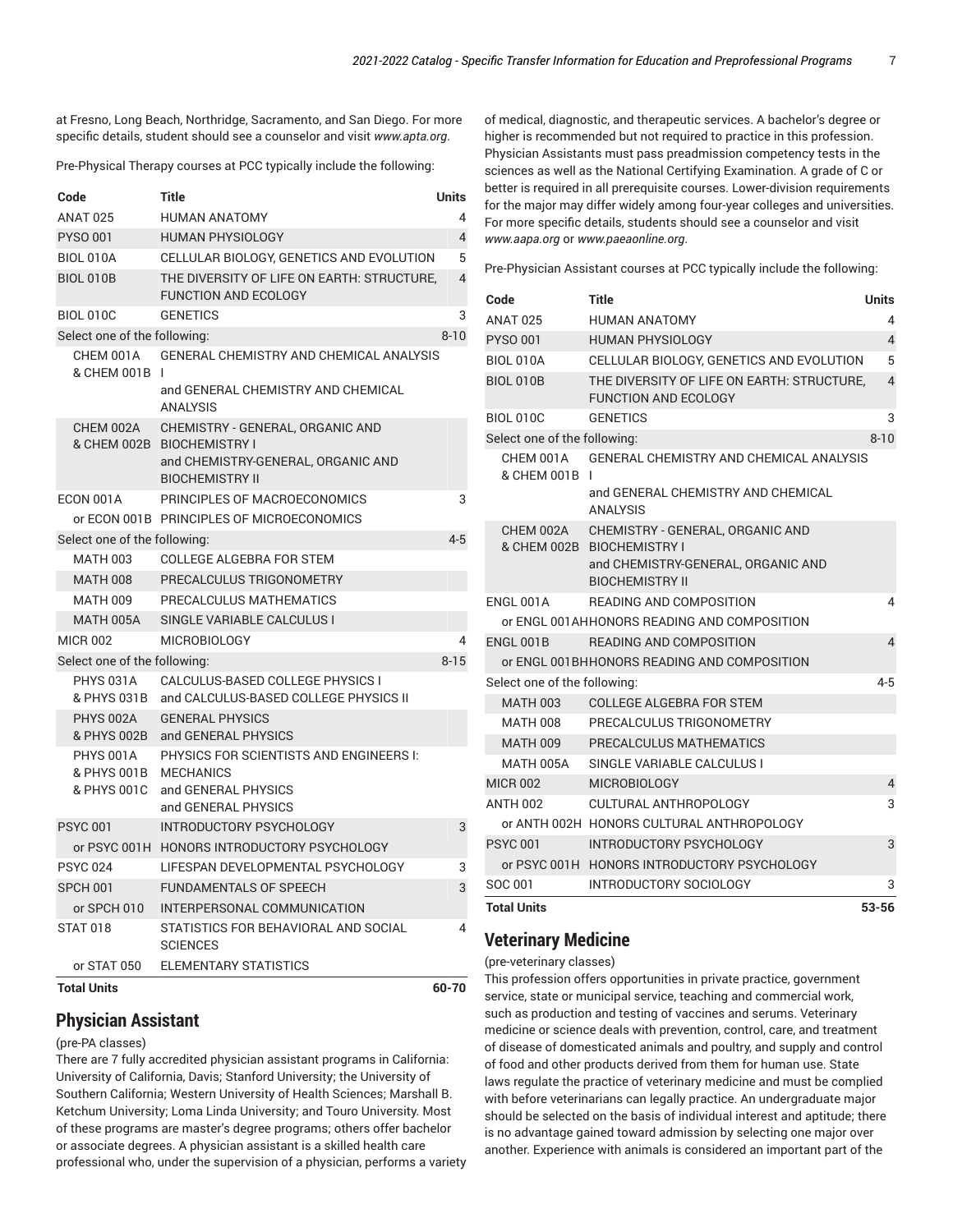at Fresno, Long Beach, Northridge, Sacramento, and San Diego. For more specific details, student should see a counselor and visit *www.apta.org*.

Pre-Physical Therapy courses at PCC typically include the following:

| Code                                    | Title                                                                                                                          | Units          |
|-----------------------------------------|--------------------------------------------------------------------------------------------------------------------------------|----------------|
| <b>ANAT 025</b>                         | <b>HUMAN ANATOMY</b>                                                                                                           | 4              |
| <b>PYSO 001</b>                         | <b>HUMAN PHYSIOLOGY</b>                                                                                                        | $\overline{4}$ |
| <b>BIOL 010A</b>                        | CELLULAR BIOLOGY, GENETICS AND EVOLUTION                                                                                       | 5              |
| <b>BIOL 010B</b>                        | THE DIVERSITY OF LIFE ON EARTH: STRUCTURE.<br><b>FUNCTION AND ECOLOGY</b>                                                      | $\overline{4}$ |
| <b>BIOL 010C</b>                        | <b>GENETICS</b>                                                                                                                | 3              |
| Select one of the following:            |                                                                                                                                | $8 - 10$       |
| CHEM 001A<br>& CHEM 001B                | GENERAL CHEMISTRY AND CHEMICAL ANALYSIS<br>$\mathsf{I}$<br>and GENERAL CHEMISTRY AND CHEMICAL<br><b>ANALYSIS</b>               |                |
| CHEM 002A                               | CHEMISTRY - GENERAL, ORGANIC AND<br>& CHEM 002B BIOCHEMISTRY I<br>and CHEMISTRY-GENERAL, ORGANIC AND<br><b>BIOCHEMISTRY II</b> |                |
| ECON 001A                               | PRINCIPLES OF MACROECONOMICS                                                                                                   | 3              |
|                                         | or ECON 001B PRINCIPLES OF MICROECONOMICS                                                                                      |                |
| Select one of the following:            |                                                                                                                                | $4 - 5$        |
| <b>MATH 003</b>                         | <b>COLLEGE ALGEBRA FOR STEM</b>                                                                                                |                |
| <b>MATH 008</b>                         | PRECALCULUS TRIGONOMETRY                                                                                                       |                |
| <b>MATH 009</b>                         | PRECALCULUS MATHEMATICS                                                                                                        |                |
| <b>MATH 005A</b>                        | SINGLE VARIABLE CALCULUS I                                                                                                     |                |
| <b>MICR 002</b>                         | <b>MICROBIOLOGY</b>                                                                                                            | 4              |
| Select one of the following:            |                                                                                                                                | $8 - 15$       |
| PHYS 031A<br>& PHYS 031B                | CALCULUS-BASED COLLEGE PHYSICS I<br>and CALCULUS-BASED COLLEGE PHYSICS II                                                      |                |
| <b>PHYS 002A</b><br>& PHYS 002B         | <b>GENERAL PHYSICS</b><br>and GENERAL PHYSICS                                                                                  |                |
| PHYS 001A<br>& PHYS 001B<br>& PHYS 001C | PHYSICS FOR SCIENTISTS AND ENGINEERS I:<br><b>MECHANICS</b><br>and GENERAL PHYSICS<br>and GENERAL PHYSICS                      |                |
| <b>PSYC 001</b>                         | <b>INTRODUCTORY PSYCHOLOGY</b>                                                                                                 | 3              |
|                                         | or PSYC 001H HONORS INTRODUCTORY PSYCHOLOGY                                                                                    |                |
| <b>PSYC 024</b>                         | LIFESPAN DEVELOPMENTAL PSYCHOLOGY                                                                                              | 3              |
| SPCH 001                                | <b>FUNDAMENTALS OF SPEECH</b>                                                                                                  | 3              |
| or SPCH 010                             | INTERPERSONAL COMMUNICATION                                                                                                    |                |
| <b>STAT 018</b>                         | STATISTICS FOR BEHAVIORAL AND SOCIAL<br><b>SCIENCES</b>                                                                        | 4              |
| or STAT 050                             | <b>ELEMENTARY STATISTICS</b>                                                                                                   |                |
| <b>Total Units</b>                      |                                                                                                                                | 60-70          |

### **Physician Assistant**

#### (pre-PA classes)

There are 7 fully accredited physician assistant programs in California: University of California, Davis; Stanford University; the University of Southern California; Western University of Health Sciences; Marshall B. Ketchum University; Loma Linda University; and Touro University. Most of these programs are master's degree programs; others offer bachelor or associate degrees. A physician assistant is a skilled health care professional who, under the supervision of a physician, performs a variety

of medical, diagnostic, and therapeutic services. A bachelor's degree or higher is recommended but not required to practice in this profession. Physician Assistants must pass preadmission competency tests in the sciences as well as the National Certifying Examination. A grade of C or better is required in all prerequisite courses. Lower-division requirements for the major may differ widely among four-year colleges and universities. For more specific details, students should see a counselor and visit *www.aapa.org* or *www.paeaonline.org*.

Pre-Physician Assistant courses at PCC typically include the following:

| Code                         | Title                                                                                                | Units          |
|------------------------------|------------------------------------------------------------------------------------------------------|----------------|
| <b>ANAT 025</b>              | <b>HUMAN ANATOMY</b>                                                                                 | 4              |
| <b>PYSO 001</b>              | <b>HUMAN PHYSIOLOGY</b>                                                                              | $\overline{4}$ |
| <b>BIOL 010A</b>             | CELLULAR BIOLOGY, GENETICS AND EVOLUTION                                                             | 5              |
| <b>BIOL 010B</b>             | THE DIVERSITY OF LIFE ON EARTH: STRUCTURE.<br><b>FUNCTION AND ECOLOGY</b>                            | 4              |
| <b>BIOL 010C</b>             | <b>GENETICS</b>                                                                                      | 3              |
| Select one of the following: |                                                                                                      | $8 - 10$       |
| CHEM 001A<br>& CHEM 001B     | GENERAL CHEMISTRY AND CHEMICAL ANALYSIS                                                              |                |
|                              | and GENERAL CHEMISTRY AND CHEMICAL<br><b>ANALYSIS</b>                                                |                |
| CHEM 002A                    | CHEMISTRY - GENERAL, ORGANIC AND<br>& CHEM 002B BIOCHEMISTRY I<br>and CHEMISTRY-GENERAL, ORGANIC AND |                |
|                              | <b>BIOCHEMISTRY II</b>                                                                               |                |
| ENGL 001A                    | <b>READING AND COMPOSITION</b>                                                                       | 4              |
|                              | or ENGL 001AHHONORS READING AND COMPOSITION                                                          |                |
| ENGL 001B                    | <b>READING AND COMPOSITION</b>                                                                       | $\overline{4}$ |
|                              | or ENGL 001BHHONORS READING AND COMPOSITION                                                          |                |
| Select one of the following: |                                                                                                      | 4-5            |
| MATH 003                     | <b>COLLEGE ALGEBRA FOR STEM</b>                                                                      |                |
| MATH 008                     | PRECALCULUS TRIGONOMETRY                                                                             |                |
| <b>MATH 009</b>              | PRECALCULUS MATHEMATICS                                                                              |                |
| MATH 005A                    | SINGLE VARIABLE CALCULUS I                                                                           |                |
| <b>MICR 002</b>              | <b>MICROBIOLOGY</b>                                                                                  | 4              |
| ANTH 002                     | CULTURAL ANTHROPOLOGY                                                                                | 3              |
|                              | or ANTH 002H HONORS CULTURAL ANTHROPOLOGY                                                            |                |
| <b>PSYC 001</b>              | <b>INTRODUCTORY PSYCHOLOGY</b>                                                                       | 3              |
|                              | or PSYC 001H HONORS INTRODUCTORY PSYCHOLOGY                                                          |                |
| SOC 001                      | <b>INTRODUCTORY SOCIOLOGY</b>                                                                        | 3              |
| <b>Total Units</b>           |                                                                                                      | 53-56          |

### **Veterinary Medicine**

(pre-veterinary classes)

This profession offers opportunities in private practice, government service, state or municipal service, teaching and commercial work, such as production and testing of vaccines and serums. Veterinary medicine or science deals with prevention, control, care, and treatment of disease of domesticated animals and poultry, and supply and control of food and other products derived from them for human use. State laws regulate the practice of veterinary medicine and must be complied with before veterinarians can legally practice. An undergraduate major should be selected on the basis of individual interest and aptitude; there is no advantage gained toward admission by selecting one major over another. Experience with animals is considered an important part of the